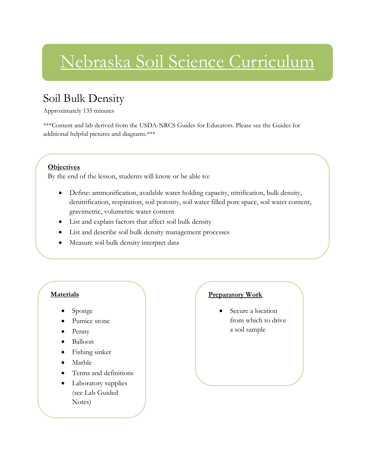### Nebraska Soil Science Curriculum

### Soil Bulk Density

Approximately 135 minutes

\*\*\*Content and lab derived from the USDA-NRCS Guides for Educators. Please see the Guides for additional helpful pictures and diagrams.\*\*\*

#### **Objectives**

By the end of the lesson, students will know or be able to:

- Define: ammonification, available water holding capacity, nitrification, bulk density, denitrification, respiration, soil porosity, soil water filled pore space, soil water content, gravimetric, volumetric water content
- List and explain factors that affect soil bulk density
- List and describe soil bulk density management processes
- Measure soil bulk density interpret data

### **Materials**

- Sponge
- Pumice stone
- Penny
- Balloon
- Fishing sinker
- Marble
- Terms and definitions
- Laboratory supplies (see Lab Guided Notes)

### **Preparatory Work**

 Secure a location from which to drive a soil sample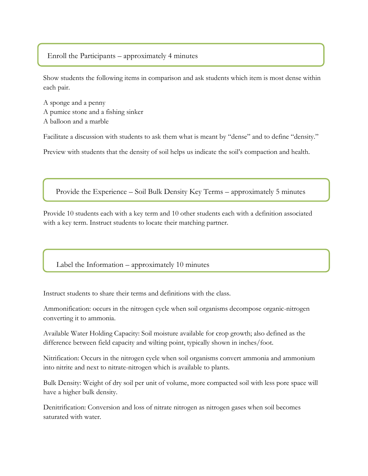#### Enroll the Participants – approximately 4 minutes

Show students the following items in comparison and ask students which item is most dense within each pair.

A sponge and a penny A pumice stone and a fishing sinker A balloon and a marble

Facilitate a discussion with students to ask them what is meant by "dense" and to define "density."

Preview with students that the density of soil helps us indicate the soil's compaction and health.

Provide the Experience – Soil Bulk Density Key Terms – approximately 5 minutes

Provide 10 students each with a key term and 10 other students each with a definition associated with a key term. Instruct students to locate their matching partner.

Label the Information – approximately 10 minutes

Instruct students to share their terms and definitions with the class.

Ammonification: occurs in the nitrogen cycle when soil organisms decompose organic-nitrogen converting it to ammonia.

Available Water Holding Capacity: Soil moisture available for crop growth; also defined as the difference between field capacity and wilting point, typically shown in inches/foot.

Nitrification: Occurs in the nitrogen cycle when soil organisms convert ammonia and ammonium into nitrite and next to nitrate-nitrogen which is available to plants.

Bulk Density: Weight of dry soil per unit of volume, more compacted soil with less pore space will have a higher bulk density.

Denitrification: Conversion and loss of nitrate nitrogen as nitrogen gases when soil becomes saturated with water.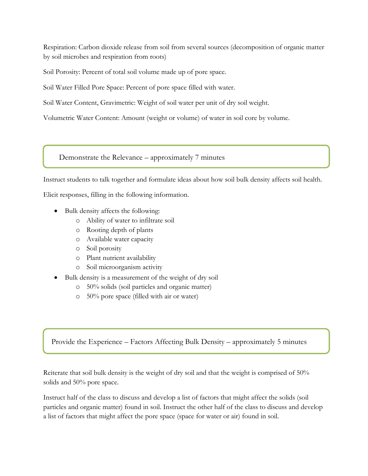Respiration: Carbon dioxide release from soil from several sources (decomposition of organic matter by soil microbes and respiration from roots)

Soil Porosity: Percent of total soil volume made up of pore space.

Soil Water Filled Pore Space: Percent of pore space filled with water.

Soil Water Content, Gravimetric: Weight of soil water per unit of dry soil weight.

Volumetric Water Content: Amount (weight or volume) of water in soil core by volume.

Demonstrate the Relevance – approximately 7 minutes

Instruct students to talk together and formulate ideas about how soil bulk density affects soil health.

Elicit responses, filling in the following information.

- Bulk density affects the following:
	- o Ability of water to infiltrate soil
	- o Rooting depth of plants
	- o Available water capacity
	- o Soil porosity
	- o Plant nutrient availability
	- o Soil microorganism activity
- Bulk density is a measurement of the weight of dry soil
	- o 50% solids (soil particles and organic matter)
	- o 50% pore space (filled with air or water)

Provide the Experience – Factors Affecting Bulk Density – approximately 5 minutes

Reiterate that soil bulk density is the weight of dry soil and that the weight is comprised of 50% solids and 50% pore space.

Instruct half of the class to discuss and develop a list of factors that might affect the solids (soil particles and organic matter) found in soil. Instruct the other half of the class to discuss and develop a list of factors that might affect the pore space (space for water or air) found in soil.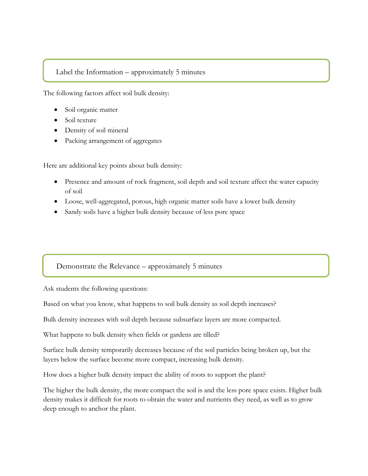#### Label the Information – approximately 5 minutes

The following factors affect soil bulk density:

- Soil organic matter
- Soil texture
- Density of soil mineral
- Packing arrangement of aggregates

Here are additional key points about bulk density:

- Presence and amount of rock fragment, soil depth and soil texture affect the water capacity of soil
- Loose, well-aggregated, porous, high organic matter soils have a lower bulk density
- Sandy soils have a higher bulk density because of less pore space

### Demonstrate the Relevance – approximately 5 minutes

Ask students the following questions:

Based on what you know, what happens to soil bulk density as soil depth increases?

Bulk density increases with soil depth because subsurface layers are more compacted.

What happens to bulk density when fields or gardens are tilled?

Surface bulk density temporarily decreases because of the soil particles being broken up, but the layers below the surface become more compact, increasing bulk density.

How does a higher bulk density impact the ability of roots to support the plant?

The higher the bulk density, the more compact the soil is and the less pore space exists. Higher bulk density makes it difficult for roots to obtain the water and nutrients they need, as well as to grow deep enough to anchor the plant.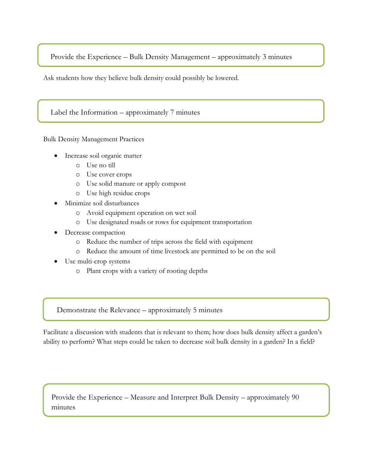Provide the Experience – Bulk Density Management – approximately 3 minutes

Ask students how they believe bulk density could possibly be lowered.

Label the Information – approximately 7 minutes

Bulk Density Management Practices

- Increase soil organic matter
	- o Use no till
	- o Use cover crops
	- o Use solid manure or apply compost
	- o Use high residue crops
- Minimize soil disturbances
	- o Avoid equipment operation on wet soil
	- o Use designated roads or rows for equipment transportation
- Decrease compaction
	- o Reduce the number of trips across the field with equipment
	- o Reduce the amount of time livestock are permitted to be on the soil
- Use multi-crop systems
	- o Plant crops with a variety of rooting depths

Demonstrate the Relevance – approximately 5 minutes

Facilitate a discussion with students that is relevant to them; how does bulk density affect a garden's ability to perform? What steps could be taken to decrease soil bulk density in a garden? In a field?

Provide the Experience – Measure and Interpret Bulk Density – approximately 90 minutes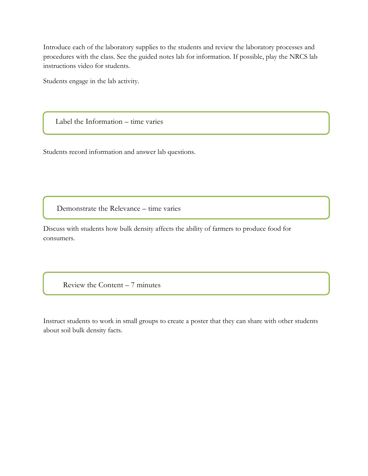Introduce each of the laboratory supplies to the students and review the laboratory processes and procedures with the class. See the guided notes lab for information. If possible, play the NRCS lab instructions video for students.

Students engage in the lab activity.

Label the Information – time varies

Students record information and answer lab questions.

Demonstrate the Relevance – time varies

Discuss with students how bulk density affects the ability of farmers to produce food for consumers.

Review the Content – 7 minutes

Instruct students to work in small groups to create a poster that they can share with other students about soil bulk density facts.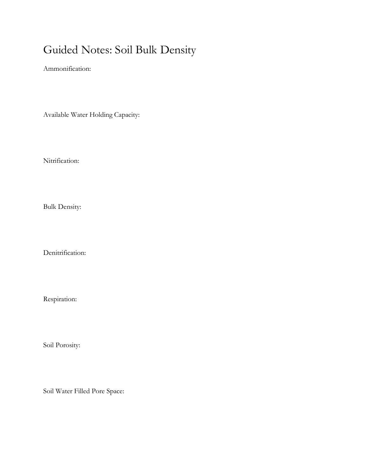### Guided Notes: Soil Bulk Density

Ammonification:

Available Water Holding Capacity:

Nitrification:

Bulk Density:

Denitrification:

Respiration:

Soil Porosity:

Soil Water Filled Pore Space: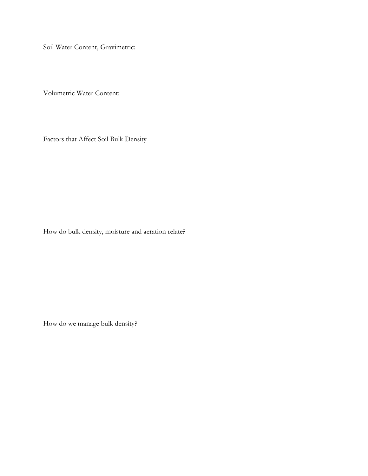Soil Water Content, Gravimetric:

Volumetric Water Content:

Factors that Affect Soil Bulk Density

How do bulk density, moisture and aeration relate?

How do we manage bulk density?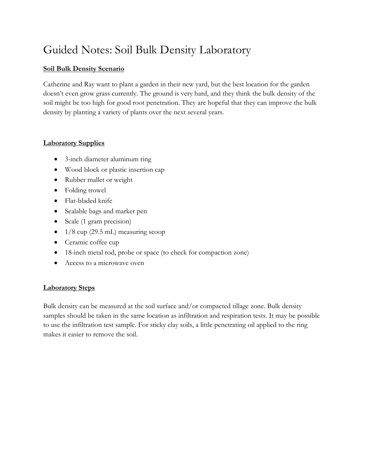### Guided Notes: Soil Bulk Density Laboratory

### **Soil Bulk Density Scenario**

Catherine and Ray want to plant a garden in their new yard, but the best location for the garden doesn't even grow grass currently. The ground is very hard, and they think the bulk density of the soil might be too high for good root penetration. They are hopeful that they can improve the bulk density by planting a variety of plants over the next several years.

### **Laboratory Supplies**

- 3-inch diameter aluminum ring
- Wood block or plastic insertion cap
- Rubber mallet or weight
- Folding trowel
- Flat-bladed knife
- Sealable bags and marker pen
- Scale (1 gram precision)
- $\bullet$  1/8 cup (29.5 mL) measuring scoop
- Ceramic coffee cup
- 18-inch metal rod, probe or space (to check for compaction zone)
- Access to a microwave oven

### **Laboratory Steps**

Bulk density can be measured at the soil surface and/or compacted tillage zone. Bulk density samples should be taken in the same location as infiltration and respiration tests. It may be possible to use the infiltration test sample. For sticky clay soils, a little penetrating oil applied to the ring makes it easier to remove the soil.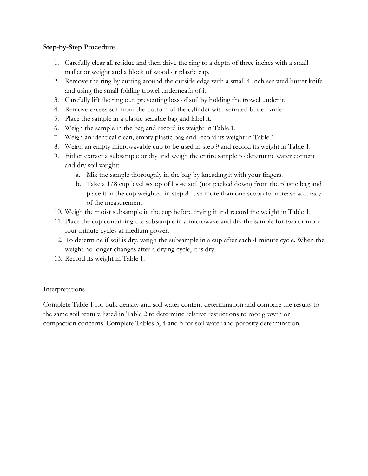#### **Step-by-Step Procedure**

- 1. Carefully clear all residue and then drive the ring to a depth of three inches with a small mallet or weight and a block of wood or plastic cap.
- 2. Remove the ring by cutting around the outside edge with a small 4-inch serrated butter knife and using the small folding trowel underneath of it.
- 3. Carefully lift the ring out, preventing loss of soil by holding the trowel under it.
- 4. Remove excess soil from the bottom of the cylinder with serrated butter knife.
- 5. Place the sample in a plastic sealable bag and label it.
- 6. Weigh the sample in the bag and record its weight in Table 1.
- 7. Weigh an identical clean, empty plastic bag and record its weight in Table 1.
- 8. Weigh an empty microwavable cup to be used in step 9 and record its weight in Table 1.
- 9. Either extract a subsample or dry and weigh the entire sample to determine water content and dry soil weight:
	- a. Mix the sample thoroughly in the bag by kneading it with your fingers.
	- b. Take a 1/8 cup level scoop of loose soil (not packed down) from the plastic bag and place it in the cup weighted in step 8. Use more than one scoop to increase accuracy of the measurement.
- 10. Weigh the moist subsample in the cup before drying it and record the weight in Table 1.
- 11. Place the cup containing the subsample in a microwave and dry the sample for two or more four-minute cycles at medium power.
- 12. To determine if soil is dry, weigh the subsample in a cup after each 4-minute cycle. When the weight no longer changes after a drying cycle, it is dry.
- 13. Record its weight in Table 1.

### Interpretations

Complete Table 1 for bulk density and soil water content determination and compare the results to the same soil texture listed in Table 2 to determine relative restrictions to root growth or compaction concerns. Complete Tables 3, 4 and 5 for soil water and porosity determination.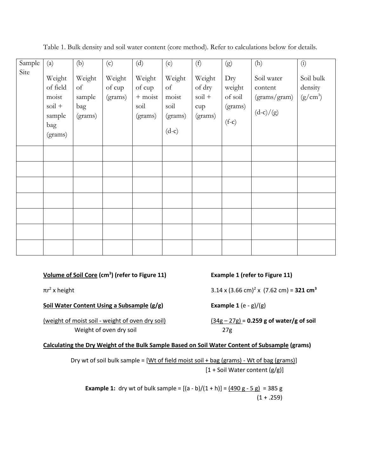| Sample | (a)                                                                          | (b)                                      | (c)                         | (d)                                              | (e)                                                         | (f)                                                     | (g)                                            | (h)                                                  | $\begin{pmatrix} 1 \end{pmatrix}$  |
|--------|------------------------------------------------------------------------------|------------------------------------------|-----------------------------|--------------------------------------------------|-------------------------------------------------------------|---------------------------------------------------------|------------------------------------------------|------------------------------------------------------|------------------------------------|
| Site   | Weight<br>of field<br>moist<br>$\mathrm{soil}$ +<br>sample<br>bag<br>(grams) | Weight<br>of<br>sample<br>bag<br>(grams) | Weight<br>of cup<br>(grams) | Weight<br>of cup<br>$+$ moist<br>soil<br>(grams) | Weight<br>$\sigma$ f<br>moist<br>soil<br>(grams)<br>$(d-c)$ | Weight<br>of dry<br>$\mathrm{soil}$ +<br>cup<br>(grams) | Dry<br>weight<br>of soil<br>(grams)<br>$(f-c)$ | Soil water<br>content<br>(grams/gram)<br>$(d-c)/(g)$ | Soil bulk<br>density<br>$(g/cm^3)$ |
|        |                                                                              |                                          |                             |                                                  |                                                             |                                                         |                                                |                                                      |                                    |
|        |                                                                              |                                          |                             |                                                  |                                                             |                                                         |                                                |                                                      |                                    |
|        |                                                                              |                                          |                             |                                                  |                                                             |                                                         |                                                |                                                      |                                    |
|        |                                                                              |                                          |                             |                                                  |                                                             |                                                         |                                                |                                                      |                                    |
|        |                                                                              |                                          |                             |                                                  |                                                             |                                                         |                                                |                                                      |                                    |
|        |                                                                              |                                          |                             |                                                  |                                                             |                                                         |                                                |                                                      |                                    |
|        |                                                                              |                                          |                             |                                                  |                                                             |                                                         |                                                |                                                      |                                    |

Table 1. Bulk density and soil water content (core method). Refer to calculations below for details.

**Volume of Soil Core (cm<sup>3</sup>**

 $\pi r^2$  x height

**Soil Water Content Using a Subsample (g/g) Example 1** (e - g)/(g)

(weight of moist soil - weight of oven dry soil) (34g – 27g) = **0.259 g of water/g of soil** Weight of oven dry soil and 27g

**) (refer to Figure 11) Example 1 (refer to Figure 11)**

x height 3.14 x (3.66 cm)<sup>2</sup> x (7.62 cm) = **321 cm<sup>3</sup>**

#### **Calculating the Dry Weight of the Bulk Sample Based on Soil Water Content of Subsample (grams)**

Dry wt of soil bulk sample =  $[Wt$  of field moist soil + bag (grams) - Wt of bag (grams)] [1 + Soil Water content (g/g)]

**Example 1:** dry wt of bulk sample =  $[(a - b)/(1 + h)] = (490 g - 5 g) = 385 g$  $(1 + .259)$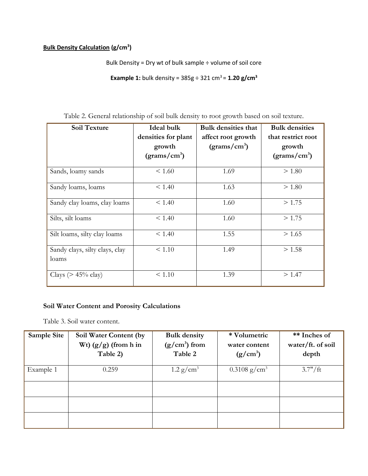#### **Bulk Density Calculation (g/cm<sup>3</sup> )**

Bulk Density = Dry wt of bulk sample ÷ volume of soil core

**Example 1:** bulk density =  $385g \div 321$  cm<sup>3</sup> =  $1.20$  g/cm<sup>3</sup>

| <b>Soil Texture</b>                     | <b>Ideal bulk</b>        | <b>Bulk densities that</b> | <b>Bulk densities</b>    |  |
|-----------------------------------------|--------------------------|----------------------------|--------------------------|--|
|                                         | densities for plant      | affect root growth         | that restrict root       |  |
|                                         | growth                   | (grams/cm <sup>3</sup> )   | growth                   |  |
|                                         | (grams/cm <sup>3</sup> ) |                            | (grams/cm <sup>3</sup> ) |  |
| Sands, loamy sands                      | < 1.60                   | 1.69                       | > 1.80                   |  |
| Sandy loams, loams                      | < 1.40                   | 1.63                       | > 1.80                   |  |
| Sandy clay loams, clay loams            | < 1.40                   | 1.60                       | >1.75                    |  |
| Silts, silt loams                       | < 1.40                   | 1.60                       | >1.75                    |  |
| Silt loams, silty clay loams            | < 1.40                   | 1.55                       | > 1.65                   |  |
| Sandy clays, silty clays, clay<br>loams | < 1.10                   | 1.49                       | > 1.58                   |  |
| Clays ( $> 45\%$ clay)                  | < 1.10                   | 1.39                       | >1.47                    |  |

Table 2. General relationship of soil bulk density to root growth based on soil texture.

### **Soil Water Content and Porosity Calculations**

Table 3. Soil water content.

| Sample Site | Soil Water Content (by<br>Wt) $(g/g)$ (from h in<br>Table 2) | <b>Bulk density</b><br>$(g/cm3)$ from<br>Table 2 | * Volumetric<br>water content<br>$(g/cm^3)$ | ** Inches of<br>water/ft. of soil<br>depth |
|-------------|--------------------------------------------------------------|--------------------------------------------------|---------------------------------------------|--------------------------------------------|
| Example 1   | 0.259                                                        | $1.2 \text{ g/cm}^3$                             | $0.3108$ g/cm <sup>3</sup>                  | 3.7''/ft                                   |
|             |                                                              |                                                  |                                             |                                            |
|             |                                                              |                                                  |                                             |                                            |
|             |                                                              |                                                  |                                             |                                            |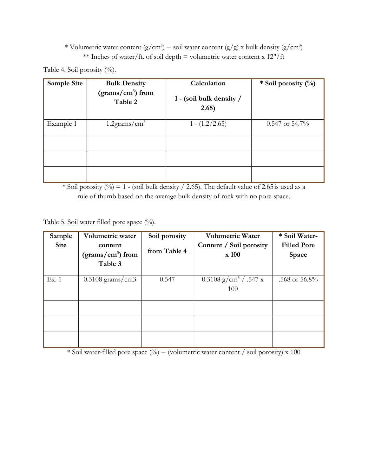### \* Volumetric water content (g/cm<sup>3</sup>) = soil water content (g/g) x bulk density (g/cm<sup>3</sup>) \*\* Inches of water/ft. of soil depth = volumetric water content x  $12''/ft$

Table 4. Soil porosity (%).

| Sample Site | <b>Bulk Density</b><br>$(grams/cm3)$ from<br>Table 2 | Calculation<br>1 - (soil bulk density /<br>2.65) | * Soil porosity $(\%)$ |
|-------------|------------------------------------------------------|--------------------------------------------------|------------------------|
| Example 1   | $1.2$ grams/cm <sup>3</sup>                          | $1 - (1.2/2.65)$                                 | $0.547$ or 54.7%       |
|             |                                                      |                                                  |                        |
|             |                                                      |                                                  |                        |

\* Soil porosity  $\left(\frac{0}{0}\right)$  = 1 - (soil bulk density / 2.65). The default value of 2.65 is used as a rule of thumb based on the average bulk density of rock with no pore space.

Table 5. Soil water filled pore space  $(^{0}_{0})$ .

| Volumetric water<br>Sample |                                             | Soil porosity | <b>Volumetric Water</b>                    | * Soil Water-      |  |
|----------------------------|---------------------------------------------|---------------|--------------------------------------------|--------------------|--|
| <b>Site</b>                | content                                     |               | Content / Soil porosity                    | <b>Filled Pore</b> |  |
|                            | $\frac{1}{2}$ (grams/cm <sup>3</sup> ) from | from Table 4  | x 100                                      | Space              |  |
|                            | Table 3                                     |               |                                            |                    |  |
| Ex. 1                      | $0.3108$ grams/cm3                          | 0.547         | $0.3108$ g/cm <sup>3</sup> / .547 x<br>100 | .568 or $56.8\%$   |  |
|                            |                                             |               |                                            |                    |  |
|                            |                                             |               |                                            |                    |  |
|                            |                                             |               |                                            |                    |  |

\* Soil water-filled pore space  $(\%)$  = (volumetric water content / soil porosity) x 100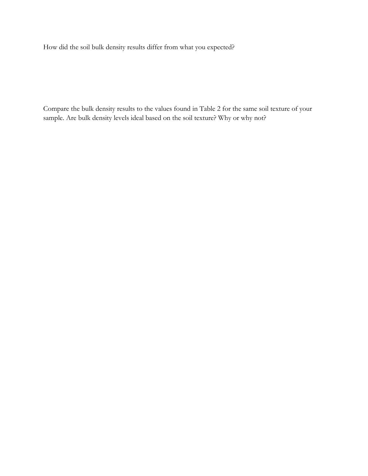How did the soil bulk density results differ from what you expected?

Compare the bulk density results to the values found in Table 2 for the same soil texture of your sample. Are bulk density levels ideal based on the soil texture? Why or why not?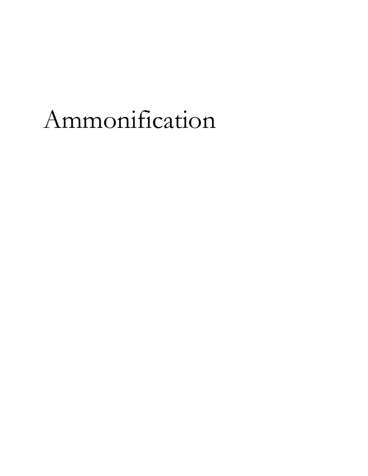### Ammonification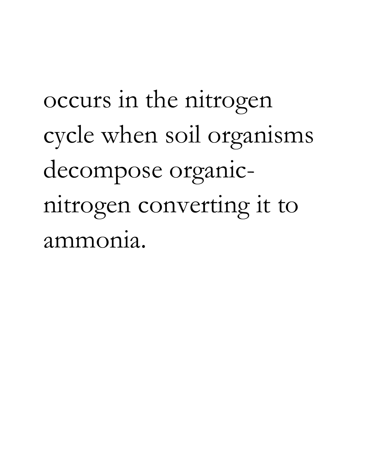occurs in the nitrogen cycle when soil organisms decompose organicnitrogen converting it to ammonia.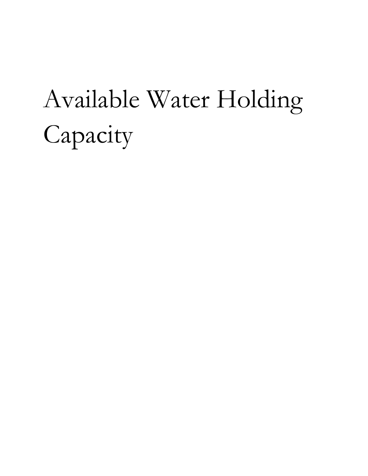## Available Water Holding Capacity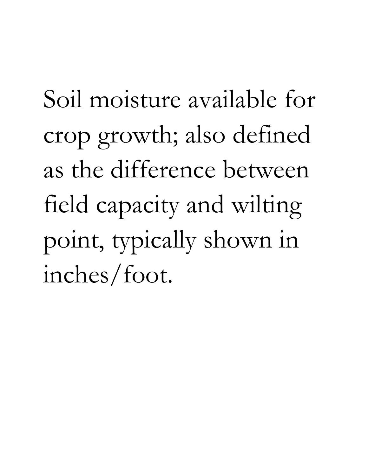Soil moisture available for crop growth; also defined as the difference between field capacity and wilting point, typically shown in inches/foot.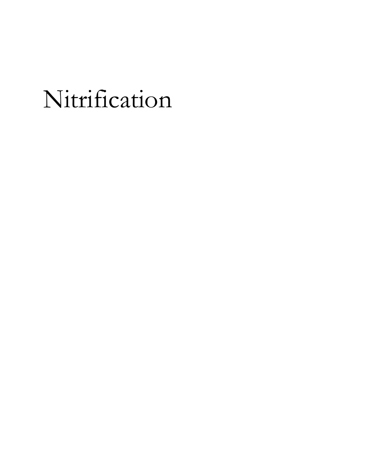## Nitrification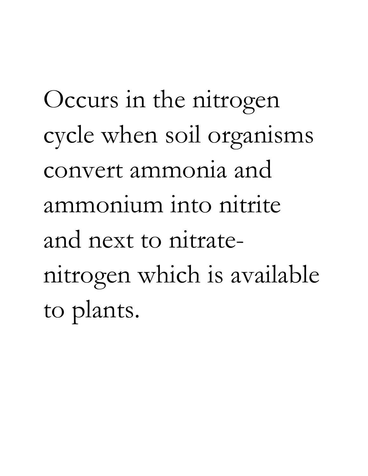Occurs in the nitrogen cycle when soil organisms convert ammonia and ammonium into nitrite and next to nitratenitrogen which is available to plants.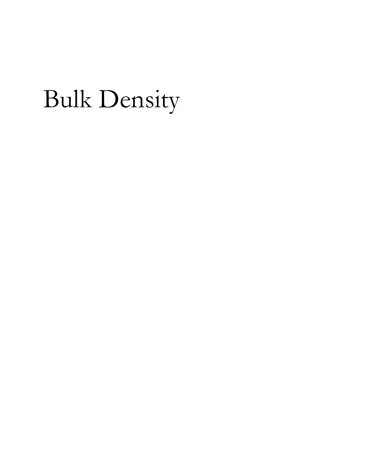## Bulk Density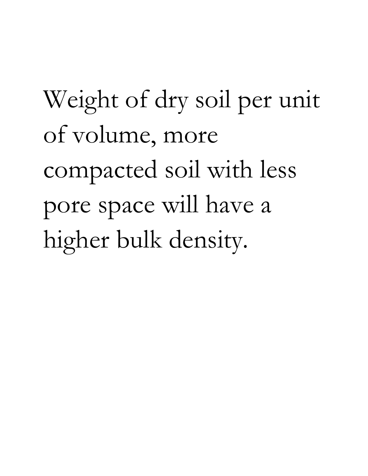# Weight of dry soil per unit of volume, more compacted soil with less pore space will have a higher bulk density.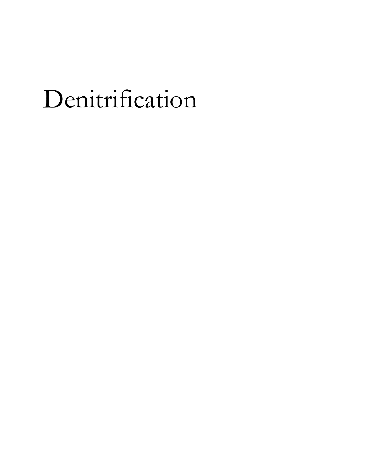## Denitrification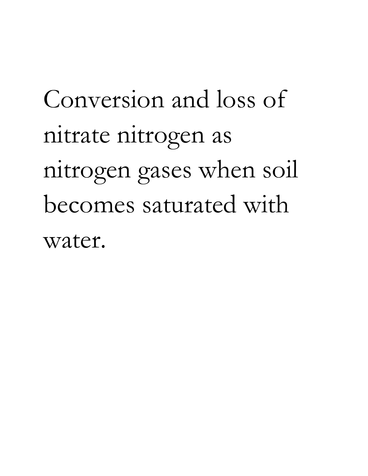# Conversion and loss of nitrate nitrogen as nitrogen gases when soil becomes saturated with water.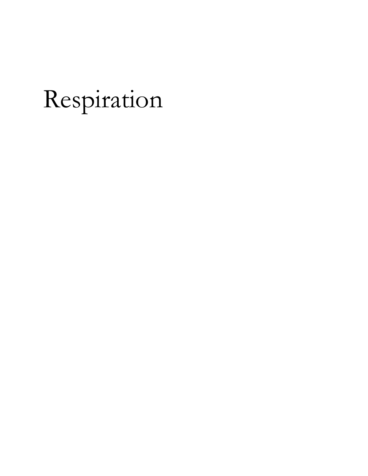## Respiration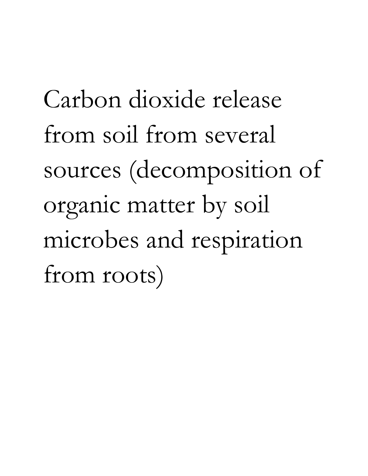Carbon dioxide release from soil from several sources (decomposition of organic matter by soil microbes and respiration from roots)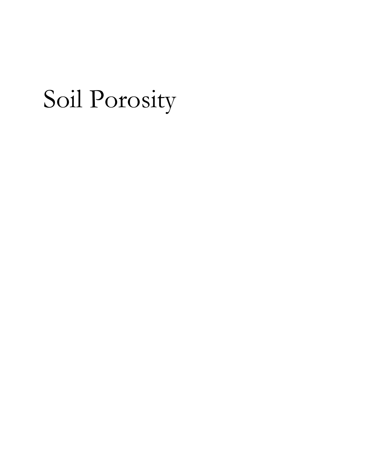## Soil Porosity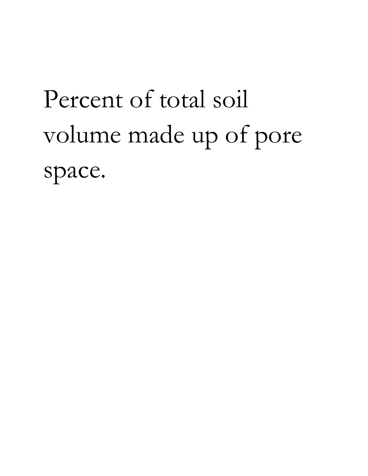# Percent of total soil volume made up of pore space.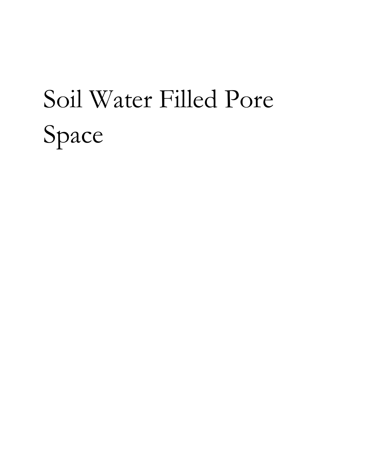## Soil Water Filled Pore Space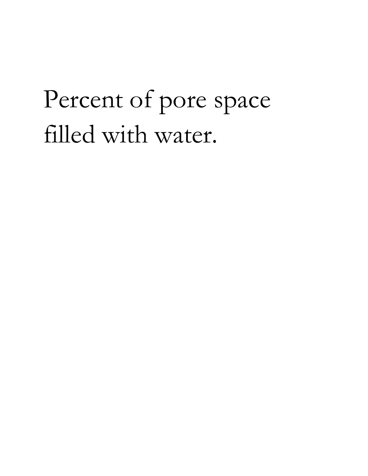## Percent of pore space filled with water.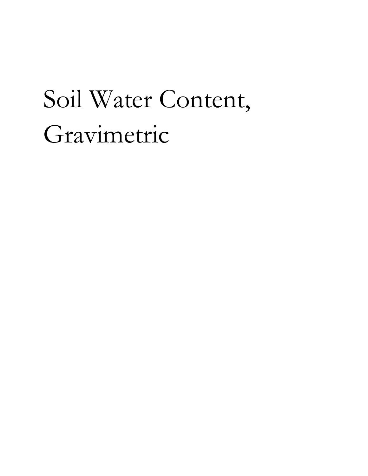## Soil Water Content, Gravimetric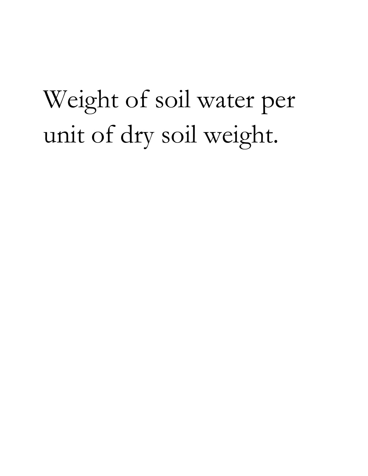## Weight of soil water per unit of dry soil weight.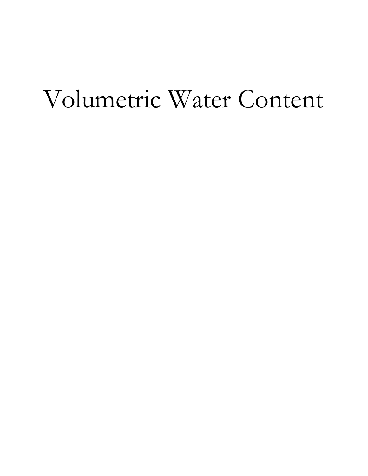## Volumetric Water Content